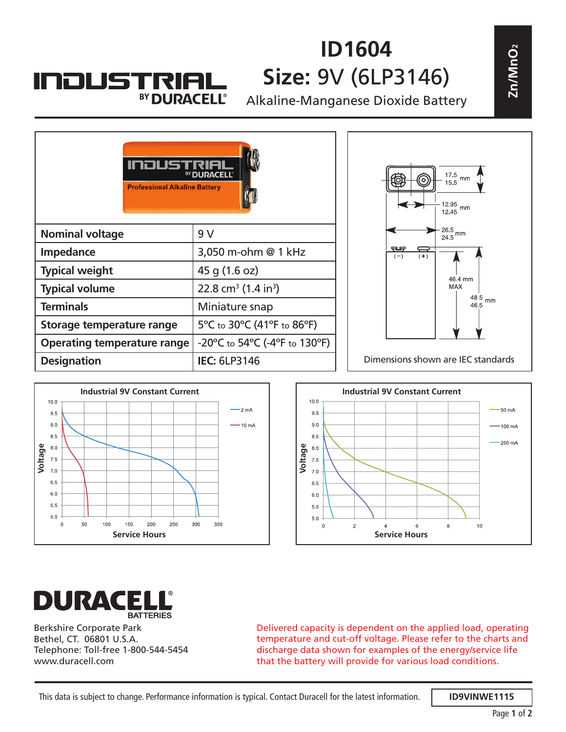## **INDUSTRIA** BY DURACELL®

## **ID1604 Size:** 9V (6LP3146)

| ID1604<br>Size: 9V (6LP3146)<br><b>INDUSTRIAL</b><br>BY DURACELL®<br>Alkaline-Manganese Dioxide Battery |                                                      |                     |                                           | Zn/MnO <sub>2</sub>                                        |
|---------------------------------------------------------------------------------------------------------|------------------------------------------------------|---------------------|-------------------------------------------|------------------------------------------------------------|
|                                                                                                         |                                                      |                     | 17.5<br>mm<br>15.5<br>$1295$ mm<br>$1245$ |                                                            |
| 9 V                                                                                                     |                                                      |                     | $\frac{26.5}{24.5}$ mm                    |                                                            |
| 3,050 m-ohm @ 1 kHz                                                                                     |                                                      | ణ<br>$(+)$<br>$(-)$ |                                           |                                                            |
| 45 g (1.6 oz)                                                                                           |                                                      |                     |                                           |                                                            |
| 22.8 cm <sup>3</sup> (1.4 in <sup>3</sup> )                                                             |                                                      |                     | MAX                                       |                                                            |
| Miniature snap                                                                                          |                                                      |                     | 46.5                                      |                                                            |
| 5°C to 30°C (41°F to 86°F)                                                                              |                                                      |                     |                                           |                                                            |
| $-20^{\circ}$ C to 54 $^{\circ}$ C (-4 $^{\circ}$ F to 130 $^{\circ}$ F)                                |                                                      |                     |                                           |                                                            |
| <b>IEC: 6LP3146</b>                                                                                     |                                                      |                     |                                           |                                                            |
| <b>Operating temperature range</b>                                                                      | BY DURACELL®<br><b>Professional Alkaline Battery</b> |                     |                                           | 46.4 mm<br>48.5 $mm$<br>Dimensions shown are IEC standards |







Berkshire Corporate Park Bethel, CT. 06801 U.S.A. Telephone: Toll-free 1-800-544-5454 www.duracell.com

Delivered capacity is dependent on the applied load, operating temperature and cut-off voltage. Please refer to the charts and discharge data shown for examples of the energy/service life that the battery will provide for various load conditions.